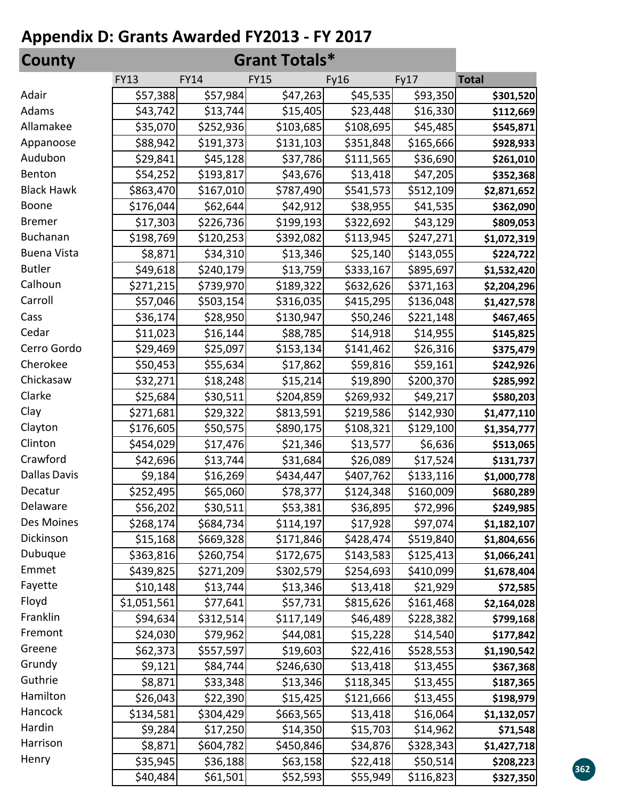## **Appendix D: Grants Awarded FY2013 ‐ FY 2017**

| <b>Grant Totals*</b><br>County |             |             |             |           |           |                         |
|--------------------------------|-------------|-------------|-------------|-----------|-----------|-------------------------|
|                                | <b>FY13</b> | <b>FY14</b> | <b>FY15</b> | Fy16      | Fy17      | <b>Total</b>            |
| Adair                          | \$57,388    | \$57,984    | \$47,263    | \$45,535  | \$93,350  | \$301,520               |
| Adams                          | \$43,742    | \$13,744    | \$15,405    | \$23,448  | \$16,330  | \$112,669               |
| Allamakee                      | \$35,070    | \$252,936   | \$103,685   | \$108,695 | \$45,485  | \$545,871               |
| Appanoose                      | \$88,942    | \$191,373   | \$131,103   | \$351,848 | \$165,666 | \$928,933               |
| Audubon                        | \$29,841    | \$45,128    | \$37,786    | \$111,565 | \$36,690  | \$261,010               |
| Benton                         | \$54,252    | \$193,817   | \$43,676    | \$13,418  | \$47,205  | \$352,368               |
| <b>Black Hawk</b>              | \$863,470   | \$167,010   | \$787,490   | \$541,573 | \$512,109 | \$2,871,652             |
| Boone                          | \$176,044   | \$62,644    | \$42,912    | \$38,955  | \$41,535  | \$362,090               |
| <b>Bremer</b>                  | \$17,303    | \$226,736   | \$199,193   | \$322,692 | \$43,129  | \$809,053               |
| <b>Buchanan</b>                | \$198,769   | \$120,253   | \$392,082   | \$113,945 | \$247,271 | \$1,072,319             |
| <b>Buena Vista</b>             | \$8,871     | \$34,310    | \$13,346    | \$25,140  | \$143,055 | \$224,722               |
| <b>Butler</b>                  | \$49,618    | \$240,179   | \$13,759    | \$333,167 | \$895,697 | \$1,532,420             |
| Calhoun                        | \$271,215   | \$739,970   | \$189,322   | \$632,626 | \$371,163 | \$2,204,296             |
| Carroll                        | \$57,046    | \$503,154   | \$316,035   | \$415,295 | \$136,048 | \$1,427,578             |
| Cass                           | \$36,174    | \$28,950    | \$130,947   | \$50,246  | \$221,148 | \$467,465               |
| Cedar                          | \$11,023    | \$16,144    | \$88,785    | \$14,918  | \$14,955  | \$145,825               |
| Cerro Gordo                    | \$29,469    | \$25,097    | \$153,134   | \$141,462 | \$26,316  | \$375,479               |
| Cherokee                       | \$50,453    | \$55,634    | \$17,862    | \$59,816  | \$59,161  | \$242,926               |
| Chickasaw                      | \$32,271    | \$18,248    | \$15,214    | \$19,890  | \$200,370 | \$285,992               |
| Clarke                         | \$25,684    | \$30,511    | \$204,859   | \$269,932 | \$49,217  | \$580,203               |
| Clay                           | \$271,681   | \$29,322    | \$813,591   | \$219,586 | \$142,930 | \$1,477,110             |
| Clayton                        | \$176,605   | \$50,575    | \$890,175   | \$108,321 | \$129,100 | \$1,354,777             |
| Clinton                        | \$454,029   | \$17,476    | \$21,346    | \$13,577  | \$6,636   | \$513,065               |
| Crawford                       | \$42,696    | \$13,744    | \$31,684    | \$26,089  | \$17,524  | \$131,737               |
| <b>Dallas Davis</b>            | \$9,184     | \$16,269    | \$434,447   | \$407,762 | \$133,116 | \$1,000,778             |
| Decatur                        | \$252,495   | \$65,060    | \$78,377    | \$124,348 | \$160,009 | \$680,289               |
| Delaware                       | \$56,202    | \$30,511    | \$53,381    | \$36,895  | \$72,996  | \$249,985               |
| Des Moines                     | \$268,174   | \$684,734   | \$114,197   | \$17,928  | \$97,074  | \$1,182,107             |
| Dickinson                      | \$15,168    | \$669,328   | \$171,846   | \$428,474 | \$519,840 | \$1,804,656             |
| Dubuque                        | \$363,816   | \$260,754   | \$172,675   | \$143,583 | \$125,413 |                         |
| Emmet                          | \$439,825   | \$271,209   | \$302,579   | \$254,693 | \$410,099 | \$1,066,241             |
| Fayette                        | \$10,148    | \$13,744    | \$13,346    | \$13,418  | \$21,929  | \$1,678,404             |
| Floyd                          | \$1,051,561 | \$77,641    | \$57,731    | \$815,626 | \$161,468 | \$72,585<br>\$2,164,028 |
| Franklin                       |             |             |             |           |           |                         |
| Fremont                        | \$94,634    | \$312,514   | \$117,149   | \$46,489  | \$228,382 | \$799,168               |
| Greene                         | \$24,030    | \$79,962    | \$44,081    | \$15,228  | \$14,540  | \$177,842               |
| Grundy                         | \$62,373    | \$557,597   | \$19,603    | \$22,416  | \$528,553 | \$1,190,542             |
| Guthrie                        | \$9,121     | \$84,744    | \$246,630   | \$13,418  | \$13,455  | \$367,368               |
| Hamilton                       | \$8,871     | \$33,348    | \$13,346    | \$118,345 | \$13,455  | \$187,365               |
| Hancock                        | \$26,043    | \$22,390    | \$15,425    | \$121,666 | \$13,455  | \$198,979               |
|                                | \$134,581   | \$304,429   | \$663,565   | \$13,418  | \$16,064  | \$1,132,057             |
| Hardin                         | \$9,284     | \$17,250    | \$14,350    | \$15,703  | \$14,962  | \$71,548                |
| Harrison                       | \$8,871     | \$604,782   | \$450,846   | \$34,876  | \$328,343 | \$1,427,718             |
| Henry                          | \$35,945    | \$36,188    | \$63,158    | \$22,418  | \$50,514  | \$208,223               |
|                                | \$40,484    | \$61,501    | \$52,593    | \$55,949  | \$116,823 | \$327,350               |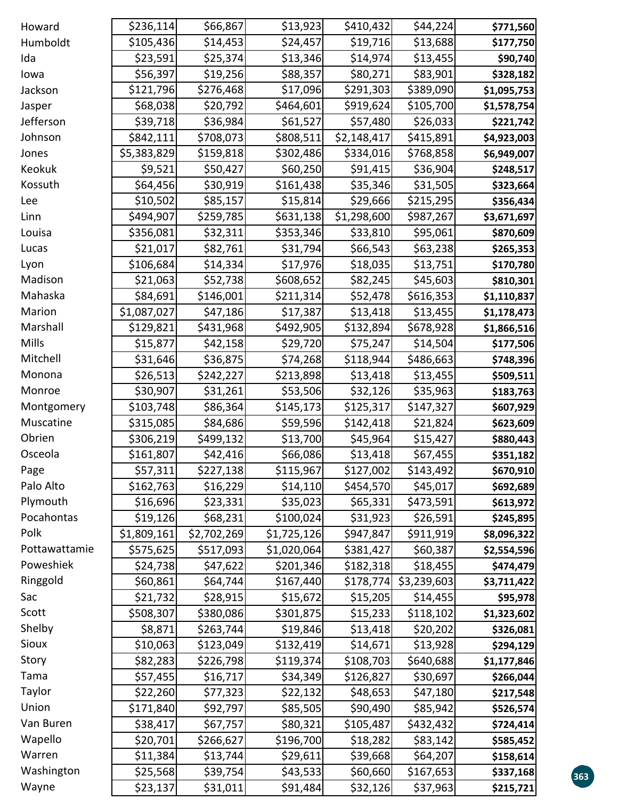| Howard        | \$236,114   | \$66,867    | \$13,923    | \$410,432   | \$44,224    | \$771,560   |
|---------------|-------------|-------------|-------------|-------------|-------------|-------------|
| Humboldt      | \$105,436   | \$14,453    | \$24,457    | \$19,716    | \$13,688    | \$177,750   |
| Ida           | \$23,591    | \$25,374    | \$13,346    | \$14,974    | \$13,455    | \$90,740    |
| lowa          | \$56,397    | \$19,256    | \$88,357    | \$80,271    | \$83,901    | \$328,182   |
| Jackson       | \$121,796   | \$276,468   | \$17,096    | \$291,303   | \$389,090   | \$1,095,753 |
| Jasper        | \$68,038    | \$20,792    | \$464,601   | \$919,624   | \$105,700   | \$1,578,754 |
| Jefferson     | \$39,718    | \$36,984    | \$61,527    | \$57,480    | \$26,033    | \$221,742   |
| Johnson       | \$842,111   | \$708,073   | \$808,511   | \$2,148,417 | \$415,891   | \$4,923,003 |
| Jones         | \$5,383,829 | \$159,818   | \$302,486   | \$334,016   | \$768,858   | \$6,949,007 |
| Keokuk        | \$9,521     | \$50,427    | \$60,250    | \$91,415    | \$36,904    | \$248,517   |
| Kossuth       | \$64,456    | \$30,919    | \$161,438   | \$35,346    | \$31,505    | \$323,664   |
| Lee           | \$10,502    | \$85,157    | \$15,814    | \$29,666    | \$215,295   | \$356,434   |
| Linn          | \$494,907   | \$259,785   | \$631,138   | \$1,298,600 | \$987,267   | \$3,671,697 |
| Louisa        | \$356,081   | \$32,311    | \$353,346   | \$33,810    | \$95,061    | \$870,609   |
| Lucas         | \$21,017    | \$82,761    | \$31,794    | \$66,543    | \$63,238    | \$265,353   |
| Lyon          | \$106,684   | \$14,334    | \$17,976    | \$18,035    | \$13,751    | \$170,780   |
| Madison       | \$21,063    | \$52,738    | \$608,652   | \$82,245    | \$45,603    | \$810,301   |
| Mahaska       | \$84,691    | \$146,001   | \$211,314   | \$52,478    | \$616,353   | \$1,110,837 |
| Marion        | \$1,087,027 | \$47,186    | \$17,387    | \$13,418    | \$13,455    | \$1,178,473 |
| Marshall      | \$129,821   | \$431,968   | \$492,905   | \$132,894   | \$678,928   | \$1,866,516 |
| Mills         | \$15,877    | \$42,158    | \$29,720    | \$75,247    | \$14,504    | \$177,506   |
| Mitchell      | \$31,646    | \$36,875    | \$74,268    | \$118,944   | \$486,663   | \$748,396   |
| Monona        | \$26,513    | \$242,227   | \$213,898   | \$13,418    | \$13,455    | \$509,511   |
| Monroe        | \$30,907    | \$31,261    | \$53,506    | \$32,126    | \$35,963    | \$183,763   |
| Montgomery    | \$103,748   | \$86,364    | \$145,173   | \$125,317   | \$147,327   | \$607,929   |
| Muscatine     | \$315,085   | \$84,686    | \$59,596    | \$142,418   | \$21,824    | \$623,609   |
| Obrien        | \$306,219   | \$499,132   | \$13,700    | \$45,964    | \$15,427    | \$880,443   |
| Osceola       | \$161,807   | \$42,416    | \$66,086    | \$13,418    | \$67,455    | \$351,182   |
| Page          | \$57,311    | \$227,138   | \$115,967   | \$127,002   | \$143,492   | \$670,910   |
| Palo Alto     | \$162,763   | \$16,229    | \$14,110    | \$454,570   | \$45,017    | \$692,689   |
| Plymouth      | \$16,696    | \$23,331    | \$35,023    | \$65,331    | \$473,591   | \$613,972   |
| Pocahontas    | \$19,126    | \$68,231    | \$100,024   | \$31,923    | \$26,591    | \$245,895   |
| Polk          | \$1,809,161 | \$2,702,269 | \$1,725,126 | \$947,847   | \$911,919   | \$8,096,322 |
| Pottawattamie | \$575,625   | \$517,093   | \$1,020,064 | \$381,427   | \$60,387    | \$2,554,596 |
| Poweshiek     | \$24,738    | \$47,622    | \$201,346   | \$182,318   | \$18,455    | \$474,479   |
| Ringgold      | \$60,861    | \$64,744    | \$167,440   | \$178,774   | \$3,239,603 | \$3,711,422 |
| Sac           | \$21,732    | \$28,915    | \$15,672    | \$15,205    | \$14,455    | \$95,978    |
| Scott         | \$508,307   | \$380,086   | \$301,875   | \$15,233    | \$118,102   | \$1,323,602 |
| Shelby        | \$8,871     | \$263,744   | \$19,846    | \$13,418    | \$20,202    | \$326,081   |
| Sioux         | \$10,063    | \$123,049   | \$132,419   | \$14,671    | \$13,928    | \$294,129   |
| Story         | \$82,283    | \$226,798   | \$119,374   | \$108,703   | \$640,688   | \$1,177,846 |
| Tama          | \$57,455    | \$16,717    | \$34,349    | \$126,827   | \$30,697    | \$266,044   |
| Taylor        | \$22,260    | \$77,323    | \$22,132    | \$48,653    | \$47,180    | \$217,548   |
| Union         | \$171,840   | \$92,797    | \$85,505    | \$90,490    | \$85,942    | \$526,574   |
| Van Buren     | \$38,417    | \$67,757    | \$80,321    | \$105,487   | \$432,432   | \$724,414   |
| Wapello       | \$20,701    | \$266,627   | \$196,700   | \$18,282    | \$83,142    | \$585,452   |
| Warren        | \$11,384    | \$13,744    | \$29,611    | \$39,668    | \$64,207    | \$158,614   |
| Washington    | \$25,568    | \$39,754    | \$43,533    | \$60,660    | \$167,653   | \$337,168   |
| Wayne         | \$23,137    | \$31,011    | \$91,484    | \$32,126    | \$37,963    | \$215,721   |